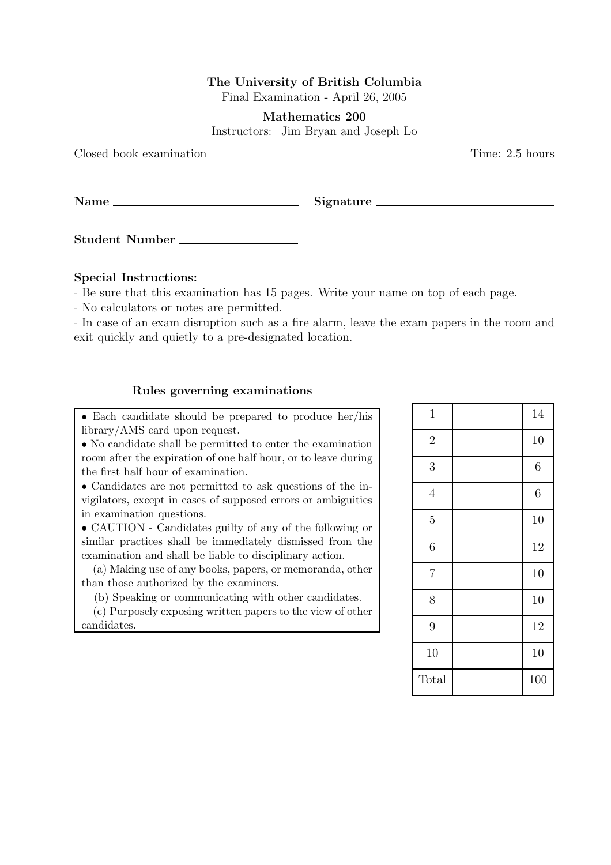## **The University of British Columbia**

Final Examination - April 26, 2005

**Mathematics 200**

Instructors: Jim Bryan and Joseph Lo

Closed book examination Time: 2.5 hours

**Name Signature**

**Student Number**

## **Special Instructions:**

- Be sure that this examination has 15 pages. Write your name on top of each page.

- No calculators or notes are permitted.

- In case of an exam disruption such as a fire alarm, leave the exam papers in the room and exit quickly and quietly to a pre-designated location.

## **Rules governing examinations**

• Each candidate should be prepared to produce her/his library/AMS card upon request.

• No candidate shall be permitted to enter the examination room after the expiration of one half hour, or to leave during the first half hour of examination.

• Candidates are not permitted to ask questions of the invigilators, except in cases of supposed errors or ambiguities in examination questions.

• CAUTION - Candidates guilty of any of the following or similar practices shall be immediately dismissed from the examination and shall be liable to disciplinary action.

(a) Making use of any books, papers, or memoranda, other than those authorized by the examiners.

(b) Speaking or communicating with other candidates.

(c) Purposely exposing written papers to the view of other candidates.

| $\mathbf{1}$     | 14  |
|------------------|-----|
| $\overline{2}$   | 10  |
| $\boldsymbol{3}$ | 6   |
| $\overline{4}$   | 6   |
| $\overline{5}$   | 10  |
| $\boldsymbol{6}$ | 12  |
| $\overline{7}$   | 10  |
| 8                | 10  |
| 9                | 12  |
| 10               | 10  |
| Total            | 100 |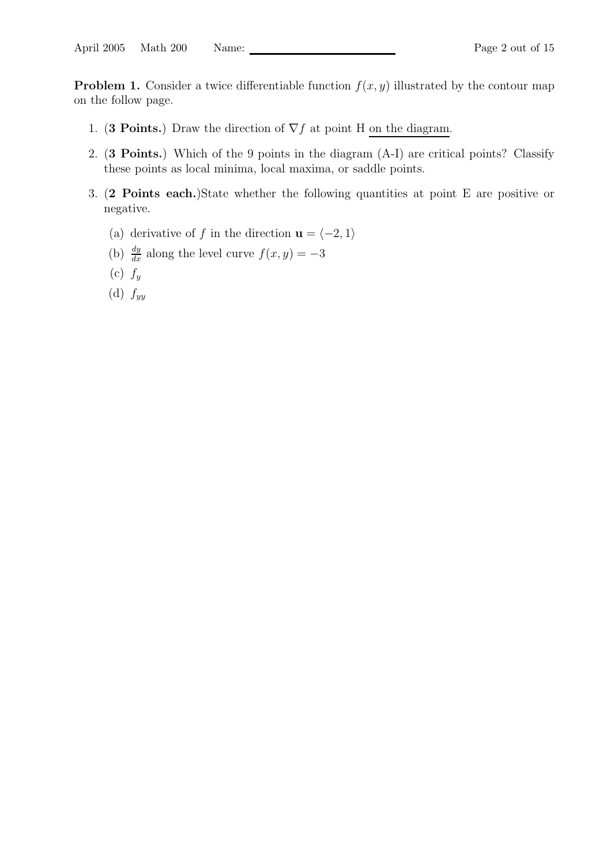**Problem 1.** Consider a twice differentiable function  $f(x, y)$  illustrated by the contour map on the follow page.

- 1. (**3 Points.**) Draw the direction of  $\nabla f$  at point H on the diagram.
- 2. (**3 Points.**) Which of the 9 points in the diagram (A-I) are critical points? Classify these points as local minima, local maxima, or saddle points.
- 3. (**2 Points each.**)State whether the following quantities at point E are positive or negative.
	- (a) derivative of f in the direction  $\mathbf{u} = \langle -2, 1 \rangle$
	- (b)  $\frac{dy}{dx}$  along the level curve  $f(x, y) = -3$
	- (c) f*<sup>y</sup>*
	- (d) f*yy*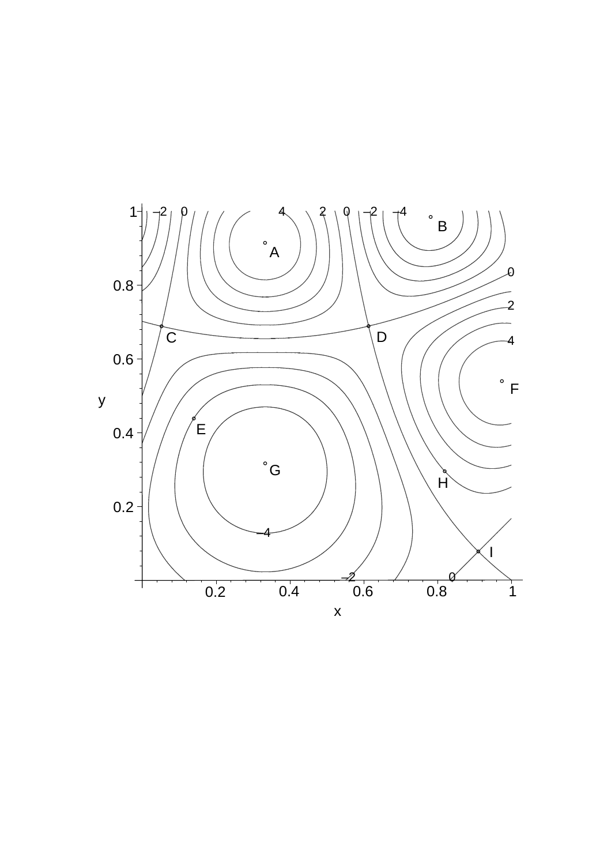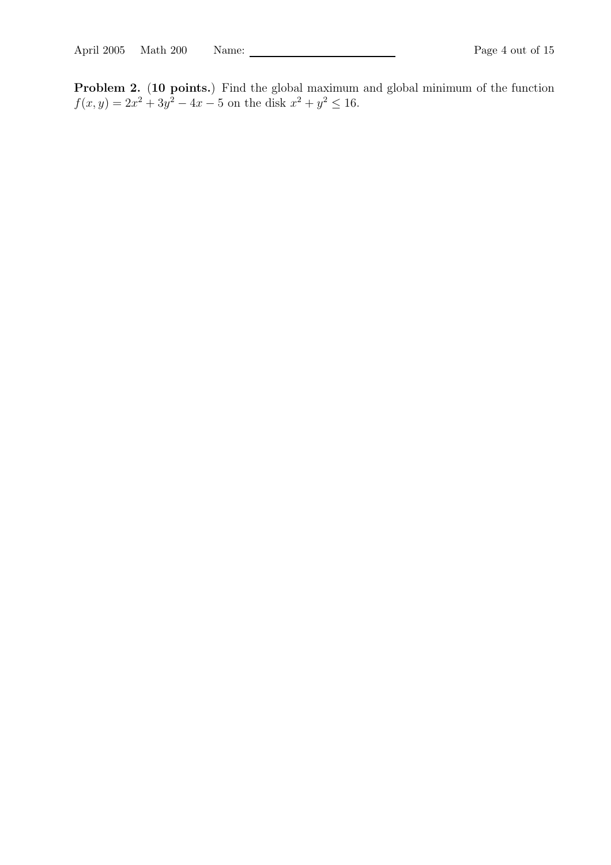**Problem 2.** (**10 points.**) Find the global maximum and global minimum of the function  $f(x, y) = 2x^2 + 3y^2 - 4x - 5$  on the disk  $x^2 + y^2 \le 16$ .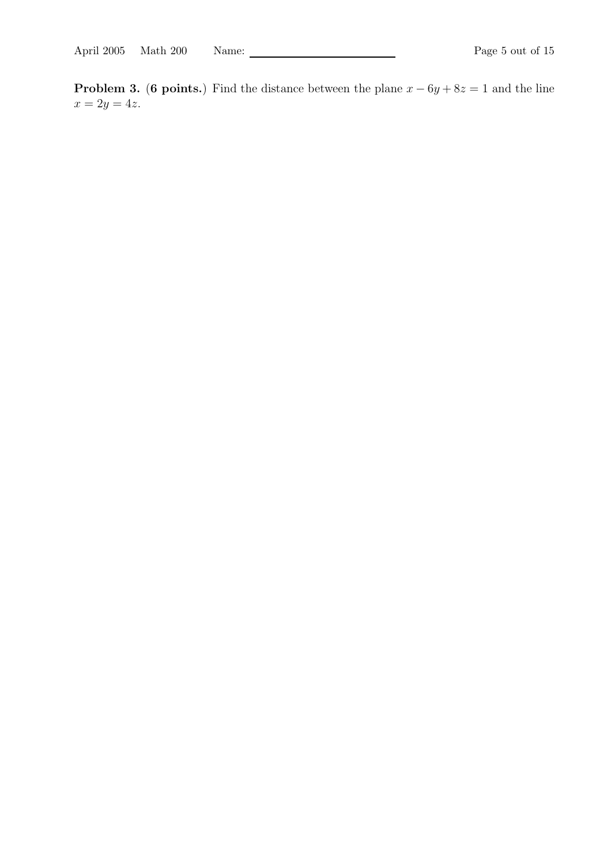**Problem 3.** (**6 points.**) Find the distance between the plane  $x - 6y + 8z = 1$  and the line  $x = 2y = 4z$ .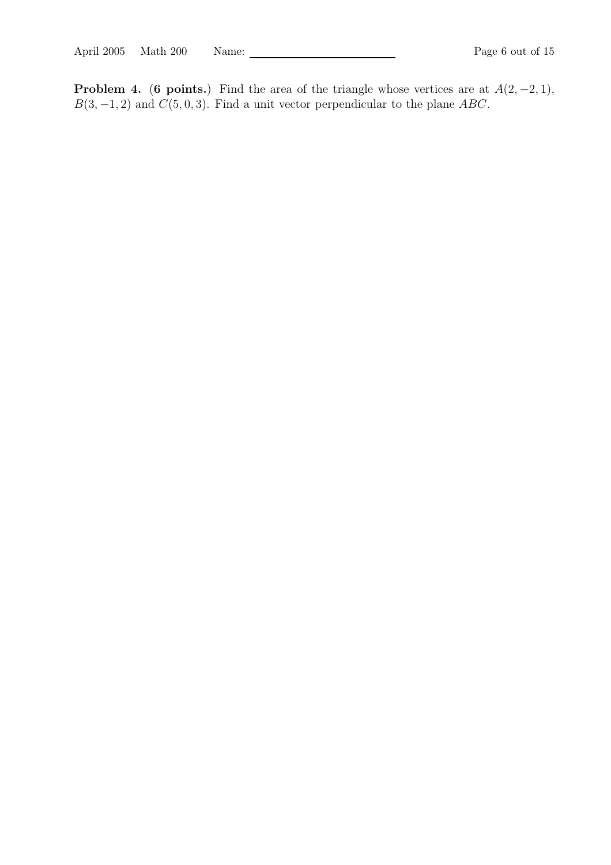**Problem 4.** (**6 points.**) Find the area of the triangle whose vertices are at  $A(2, -2, 1)$ ,  $B(3, -1, 2)$  and  $C(5, 0, 3)$ . Find a unit vector perpendicular to the plane ABC.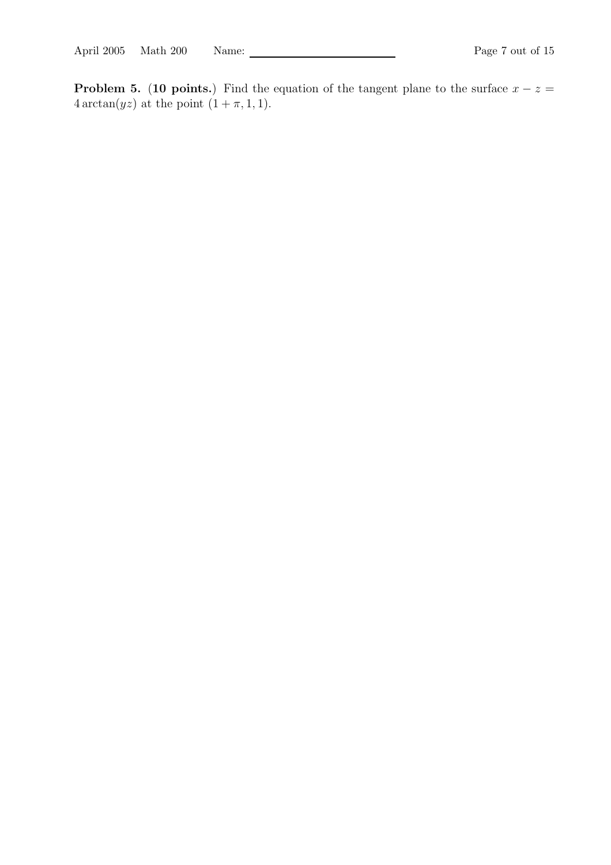**Problem 5.** (10 points.) Find the equation of the tangent plane to the surface  $x - z =$  $4 \arctan(yz)$  at the point  $(1 + \pi, 1, 1)$ .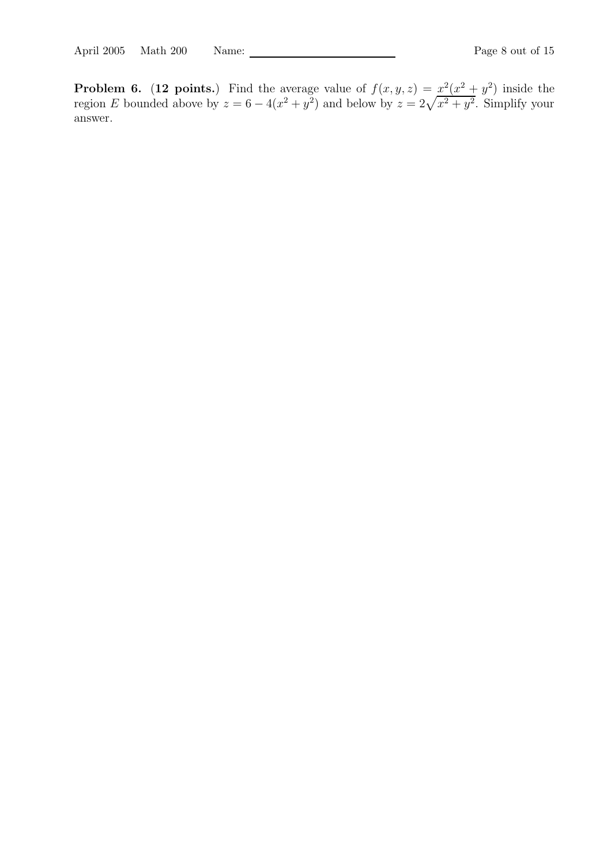**Problem 6.** (12 points.) Find the average value of  $f(x, y, z) = x^2(x^2 + y^2)$  inside the region E bounded above by  $z = 6 - 4(x^2 + y^2)$  and below by  $z = 2\sqrt{x^2 + y^2}$ . Simplify your answer.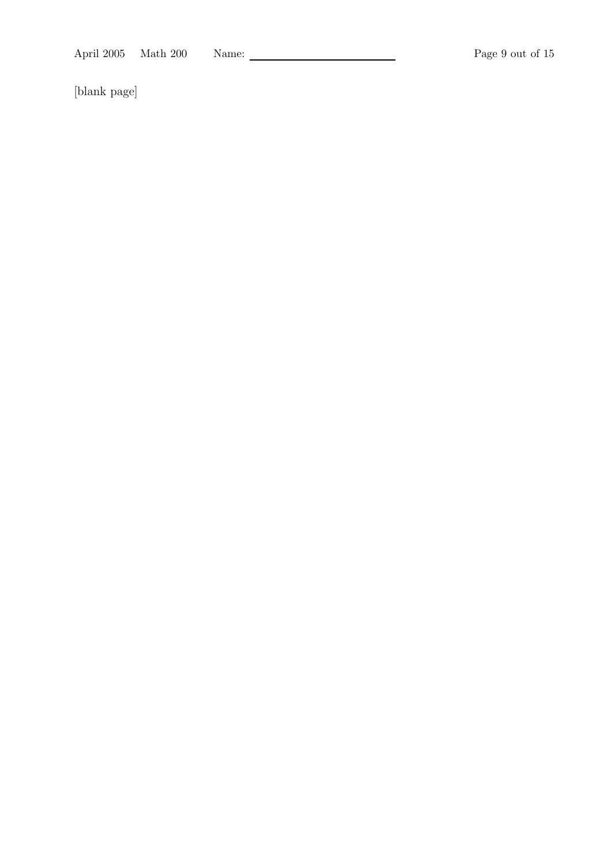April 2005 Math 200 Name: 2008 Math 200 Name: 2008 Page 9 out of 15

[blank page]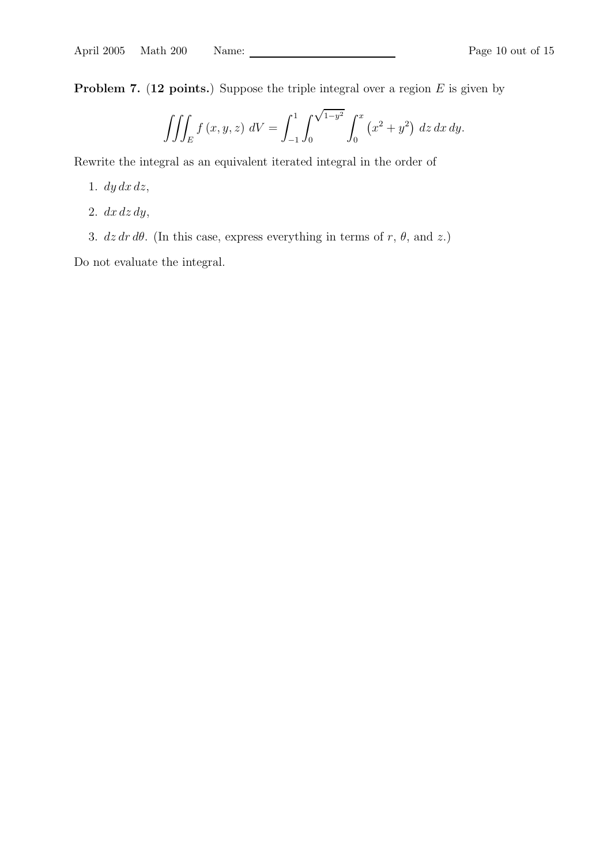**Problem 7.** (12 points.) Suppose the triple integral over a region E is given by

$$
\iiint_E f(x, y, z) dV = \int_{-1}^1 \int_0^{\sqrt{1 - y^2}} \int_0^x (x^2 + y^2) dz dx dy.
$$

Rewrite the integral as an equivalent iterated integral in the order of

- 1.  $dy dx dz$ ,
- 2.  $dx dz dy$ ,
- 3.  $dz dr d\theta$ . (In this case, express everything in terms of r,  $\theta$ , and z.)

Do not evaluate the integral.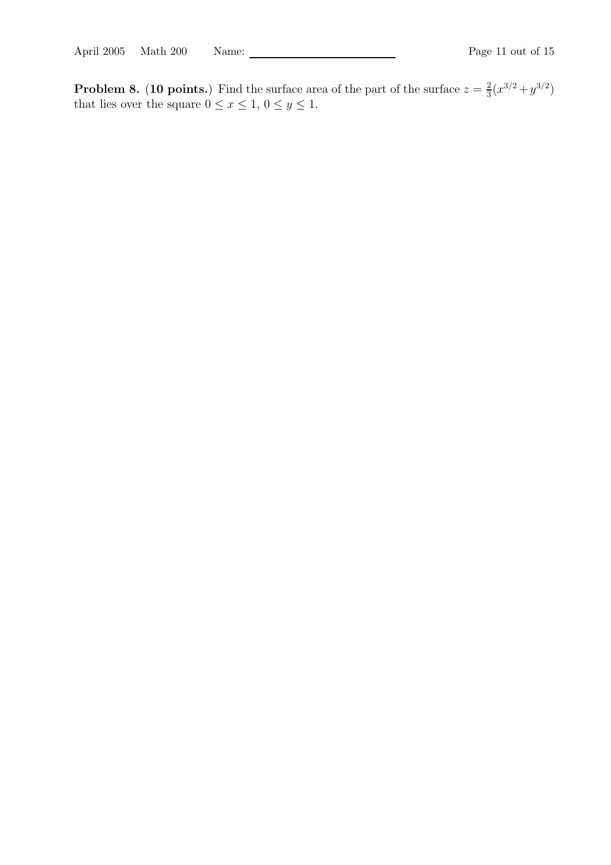**Problem 8.** (10 points.) Find the surface area of the part of the surface  $z = \frac{2}{3}(x^{3/2} + y^{3/2})$ that lies over the square  $0 \le x \le 1, 0 \le y \le 1$ .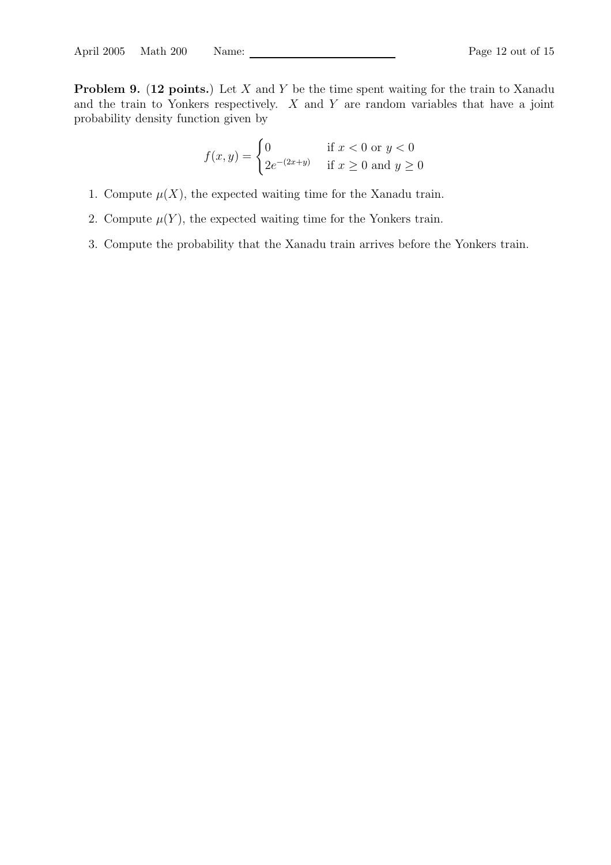**Problem 9.** (12 points.) Let X and Y be the time spent waiting for the train to Xanadu and the train to Yonkers respectively.  $X$  and  $Y$  are random variables that have a joint probability density function given by

$$
f(x,y) = \begin{cases} 0 & \text{if } x < 0 \text{ or } y < 0\\ 2e^{-(2x+y)} & \text{if } x \ge 0 \text{ and } y \ge 0 \end{cases}
$$

- 1. Compute  $\mu(X)$ , the expected waiting time for the Xanadu train.
- 2. Compute  $\mu(Y)$ , the expected waiting time for the Yonkers train.
- 3. Compute the probability that the Xanadu train arrives before the Yonkers train.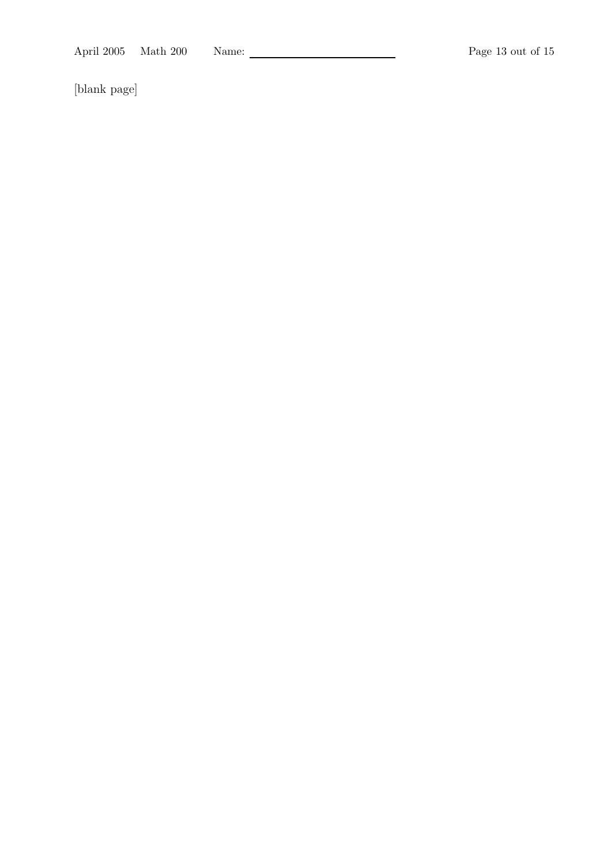April 2005 Math 200 Name: 2008 Math 200 Name: 2005 Page 13 out of 15

[blank page]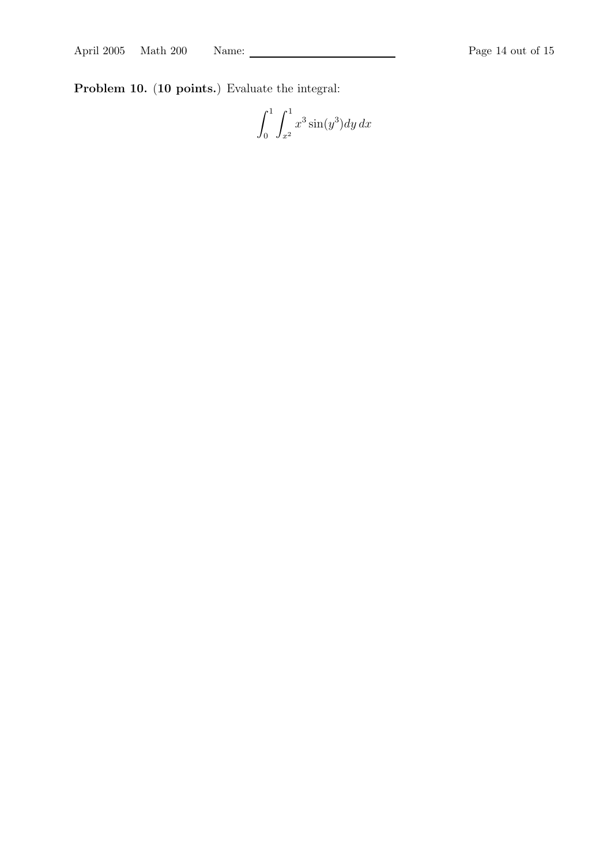**Problem 10.** (**10 points.**) Evaluate the integral:

$$
\int_0^1 \int_{x^2}^1 x^3 \sin(y^3) dy dx
$$